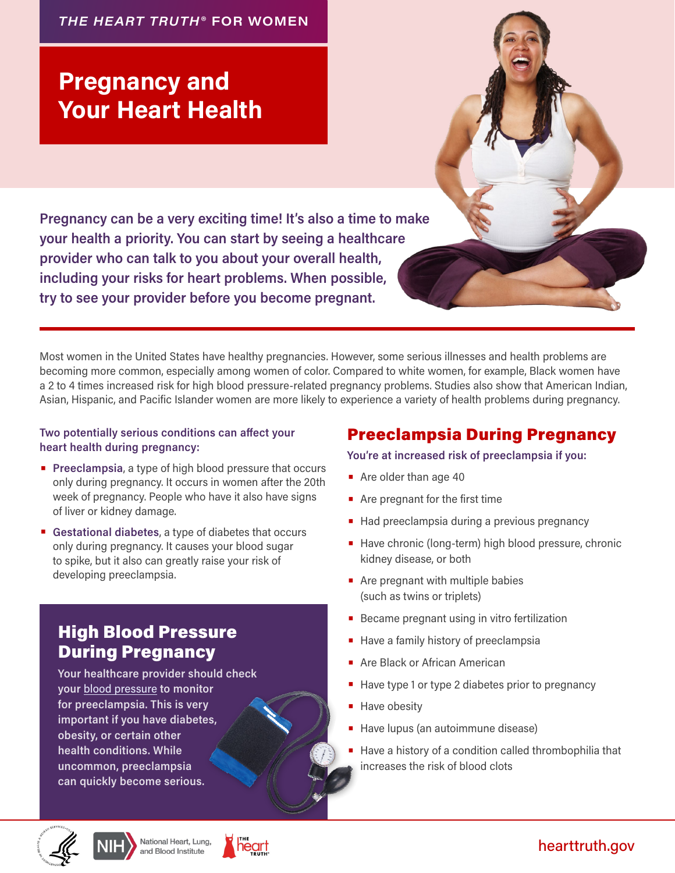#### *THE HEART TRUTH* **® FOR WOMEN**

# Pregnancy and Your Heart Health

Pregnancy can be a very exciting time! It's also a time to make your health a priority. You can start by seeing a healthcare provider who can talk to you about your overall health, including your risks for heart problems. When possible, try to see your provider before you become pregnant.

Most women in the United States have healthy pregnancies. However, some serious illnesses and health problems are becoming more common, especially among women of color. Compared to white women, for example, Black women have a 2 to 4 times increased risk for high blood pressure-related pregnancy problems. Studies also show that American Indian, Asian, Hispanic, and Pacific Islander women are more likely to experience a variety of health problems during pregnancy.

#### Two potentially serious conditions can affect your heart health during pregnancy:

- **Preeclampsia**, a type of high blood pressure that occurs only during pregnancy. It occurs in women after the 20th week of pregnancy. People who have it also have signs of liver or kidney damage.
- Gestational diabetes, a type of diabetes that occurs only during pregnancy. It causes your blood sugar to spike, but it also can greatly raise your risk of developing preeclampsia.

# High Blood Pressure During Pregnancy

Your healthcare provider should check your [blood pressure](https://www.nhlbi.nih.gov/education/high-blood-pressure) to monitor for preeclampsia. This is very important if you have diabetes, obesity, or certain other health conditions. While uncommon, preeclampsia can quickly become serious.

### Preeclampsia During Pregnancy

You're at increased risk of preeclampsia if you:

- Are older than age 40
- Are pregnant for the first time
- **Had preeclampsia during a previous pregnancy**
- Have chronic (long-term) high blood pressure, chronic kidney disease, or both
- Are pregnant with multiple babies (such as twins or triplets)
- **Became pregnant using in vitro fertilization**
- **Have a family history of preeclampsia**
- **Are Black or African American**
- **•** Have type 1 or type 2 diabetes prior to pregnancy
- **Have obesity**
- **Have lupus (an autoimmune disease)**
- Have a history of a condition called thrombophilia that increases the risk of blood clots





### [hearttruth.gov](https://www.nhlbi.nih.gov/health-topics/education-and-awareness/heart-truth)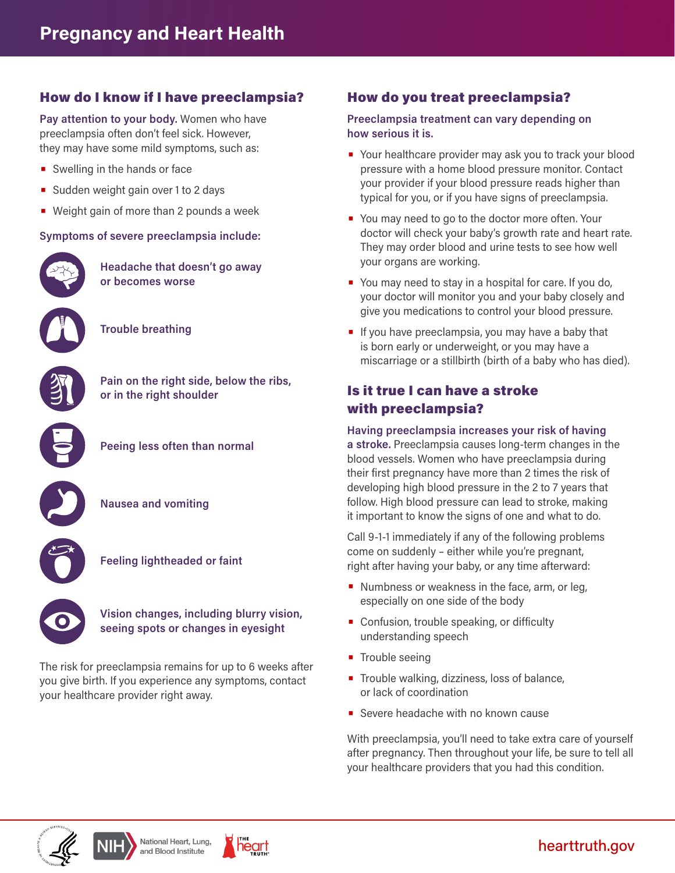### How do I know if I have preeclampsia?

Pay attention to your body. Women who have preeclampsia often don't feel sick. However, they may have some mild symptoms, such as:

- Swelling in the hands or face
- Sudden weight gain over 1 to 2 days
- Weight gain of more than 2 pounds a week

#### Symptoms of severe preeclampsia include:



Headache that doesn't go away or becomes worse

Trouble breathing



Pain on the right side, below the ribs, or in the right shoulder



Peeing less often than normal



Nausea and vomiting



Feeling lightheaded or faint



Vision changes, including blurry vision, seeing spots or changes in eyesight

The risk for preeclampsia remains for up to 6 weeks after you give birth. If you experience any symptoms, contact your healthcare provider right away.

### How do you treat preeclampsia?

Preeclampsia treatment can vary depending on how serious it is.

- Your healthcare provider may ask you to track your blood pressure with a home blood pressure monitor. Contact your provider if your blood pressure reads higher than typical for you, or if you have signs of preeclampsia.
- You may need to go to the doctor more often. Your doctor will check your baby's growth rate and heart rate. They may order blood and urine tests to see how well your organs are working.
- You may need to stay in a hospital for care. If you do, your doctor will monitor you and your baby closely and give you medications to control your blood pressure.
- If you have preeclampsia, you may have a baby that is born early or underweight, or you may have a miscarriage or a stillbirth (birth of a baby who has died).

#### Is it true I can have a stroke with preeclampsia?

Having preeclampsia increases your risk of having

a stroke. Preeclampsia causes long-term changes in the blood vessels. Women who have preeclampsia during their first pregnancy have more than 2 times the risk of developing high blood pressure in the 2 to 7 years that follow. High blood pressure can lead to stroke, making it important to know the signs of one and what to do.

Call 9-1-1 immediately if any of the following problems come on suddenly – either while you're pregnant, right after having your baby, or any time afterward:

- Numbness or weakness in the face, arm, or leg, especially on one side of the body
- Confusion, trouble speaking, or difficulty understanding speech
- Trouble seeing
- **•** Trouble walking, dizziness, loss of balance, or lack of coordination
- Severe headache with no known cause

With preeclampsia, you'll need to take extra care of yourself after pregnancy. Then throughout your life, be sure to tell all your healthcare providers that you had this condition.



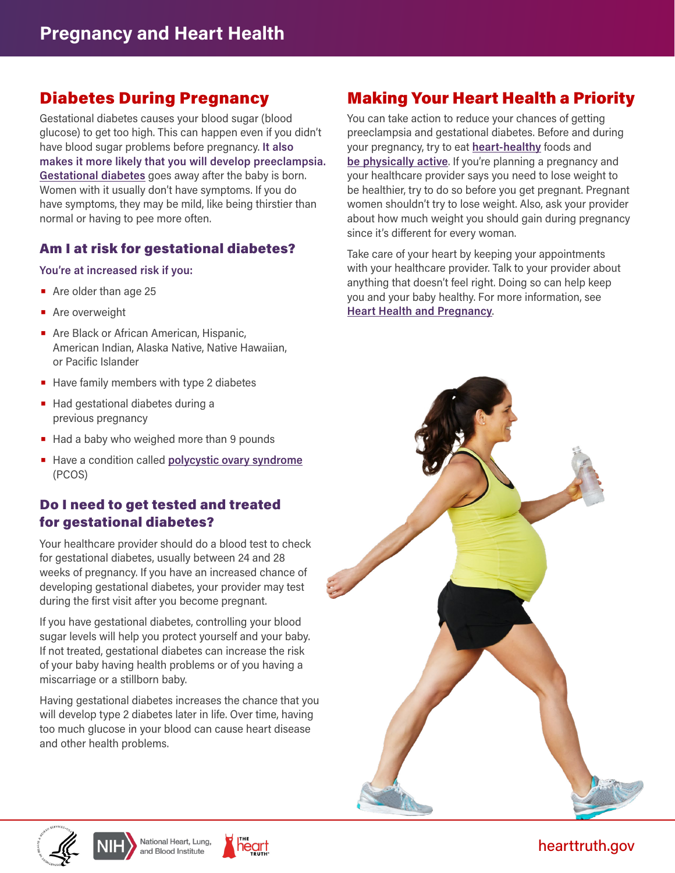### Diabetes During Pregnancy

Gestational diabetes causes your blood sugar (blood glucose) to get too high. This can happen even if you didn't have blood sugar problems before pregnancy. It also makes it more likely that you will develop preeclampsia. [Gestational diabetes](https://www.niddk.nih.gov/health-information/diabetes/overview/what-is-diabetes/gestational) goes away after the baby is born. Women with it usually don't have symptoms. If you do have symptoms, they may be mild, like being thirstier than normal or having to pee more often.

#### Am I at risk for gestational diabetes?

#### You're at increased risk if you:

- Are older than age 25
- **•** Are overweight
- **Are Black or African American, Hispanic,** American Indian, Alaska Native, Native Hawaiian, or Pacific Islander
- Have family members with type 2 diabetes
- Had gestational diabetes during a previous pregnancy
- Had a baby who weighed more than 9 pounds
- Have a condition called [polycystic ovary syndrome](https://www.nichd.nih.gov/health/topics/pcos) (PCOS)

### Do I need to get tested and treated for gestational diabetes?

Your healthcare provider should do a blood test to check for gestational diabetes, usually between 24 and 28 weeks of pregnancy. If you have an increased chance of developing gestational diabetes, your provider may test during the first visit after you become pregnant.

If you have gestational diabetes, controlling your blood sugar levels will help you protect yourself and your baby. If not treated, gestational diabetes can increase the risk of your baby having health problems or of you having a miscarriage or a stillborn baby.

Having gestational diabetes increases the chance that you will develop type 2 diabetes later in life. Over time, having too much glucose in your blood can cause heart disease and other health problems.

# Making Your Heart Health a Priority

You can take action to reduce your chances of getting preeclampsia and gestational diabetes. Before and during your pregnancy, try to eat [heart-healthy](https://www.nhlbi.nih.gov/health/heart-healthy-living/healthy-foods) foods and [be physically active.](https://www.nhlbi.nih.gov/health/heart/physical-activity) If you're planning a pregnancy and your healthcare provider says you need to lose weight to be healthier, try to do so before you get pregnant. Pregnant women shouldn't try to lose weight. Also, ask your provider about how much weight you should gain during pregnancy since it's different for every woman.

Take care of your heart by keeping your appointments with your healthcare provider. Talk to your provider about anything that doesn't feel right. Doing so can help keep you and your baby healthy. For more information, see [Heart Health and Pregnancy](https://www.nhlbi.nih.gov/health-topics/education-and-awareness/heart-truth/listen-to-your-heart/heart-health-and-pregnancy).